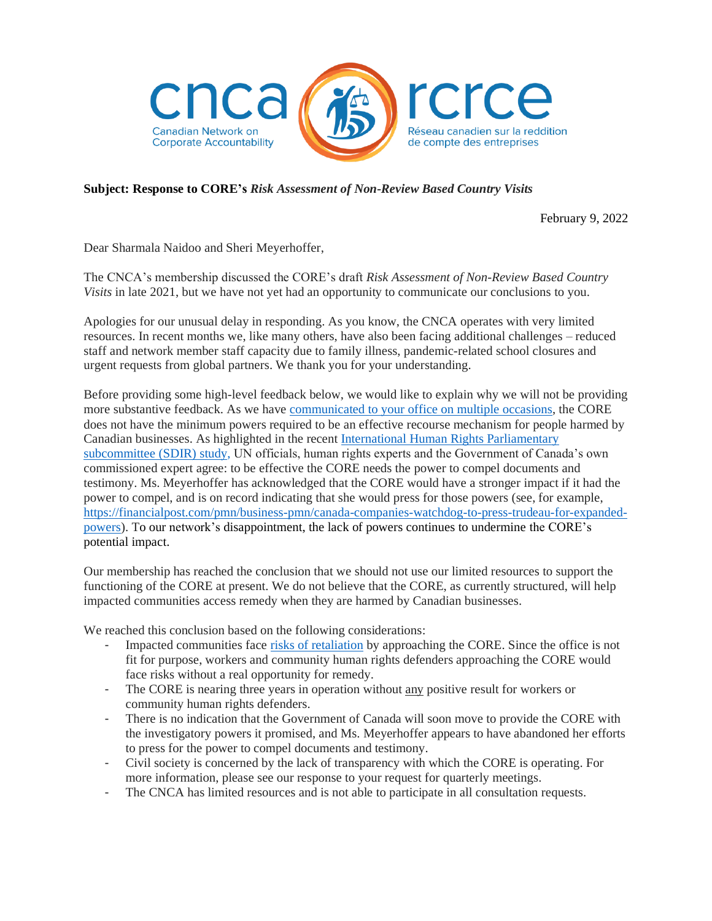

## **Subject: Response to CORE's** *Risk Assessment of Non-Review Based Country Visits*

February 9, 2022

Dear Sharmala Naidoo and Sheri Meyerhoffer,

The CNCA's membership discussed the CORE's draft *Risk Assessment of Non-Review Based Country Visits* in late 2021, but we have not yet had an opportunity to communicate our conclusions to you.

Apologies for our unusual delay in responding. As you know, the CNCA operates with very limited resources. In recent months we, like many others, have also been facing additional challenges – reduced staff and network member staff capacity due to family illness, pandemic-related school closures and urgent requests from global partners. We thank you for your understanding.

Before providing some high-level feedback below, we would like to explain why we will not be providing more substantive feedback. As we have [communicated to your office on multiple occasions,](https://cnca-rcrce.ca/site/wp-content/uploads/2020/05/Letter-to-CORE-Neve.-Dwyer.-Coumans-13.02.2020-2.pdf) the CORE does not have the minimum powers required to be an effective recourse mechanism for people harmed by Canadian businesses. As highlighted in the recent [International Human Rights Parliamentary](https://www.ourcommons.ca/DocumentViewer/en/43-2/FAAE/report-8)  [subcommittee \(SDIR\) study,](https://www.ourcommons.ca/DocumentViewer/en/43-2/FAAE/report-8) UN officials, human rights experts and the Government of Canada's own commissioned expert agree: to be effective the CORE needs the power to compel documents and testimony. Ms. Meyerhoffer has acknowledged that the CORE would have a stronger impact if it had the power to compel, and is on record indicating that she would press for those powers (see, for example, [https://financialpost.com/pmn/business-pmn/canada-companies-watchdog-to-press-trudeau-for-expanded](https://financialpost.com/pmn/business-pmn/canada-companies-watchdog-to-press-trudeau-for-expanded-powers)[powers\)](https://financialpost.com/pmn/business-pmn/canada-companies-watchdog-to-press-trudeau-for-expanded-powers). To our network's disappointment, the lack of powers continues to undermine the CORE's potential impact.

Our membership has reached the conclusion that we should not use our limited resources to support the functioning of the CORE at present. We do not believe that the CORE, as currently structured, will help impacted communities access remedy when they are harmed by Canadian businesses.

We reached this conclusion based on the following considerations:

- Impacted communities face [risks of retaliation](https://cnca-rcrce.ca/2021/01/15/cncas-supplemental-feedback-to-core-consultations-standard-operating-procedures-retaliation-framework/) by approaching the CORE. Since the office is not fit for purpose, workers and community human rights defenders approaching the CORE would face risks without a real opportunity for remedy.
- The CORE is nearing three years in operation without any positive result for workers or community human rights defenders.
- There is no indication that the Government of Canada will soon move to provide the CORE with the investigatory powers it promised, and Ms. Meyerhoffer appears to have abandoned her efforts to press for the power to compel documents and testimony.
- Civil society is concerned by the lack of transparency with which the CORE is operating. For more information, please see our response to your request for quarterly meetings.
- The CNCA has limited resources and is not able to participate in all consultation requests.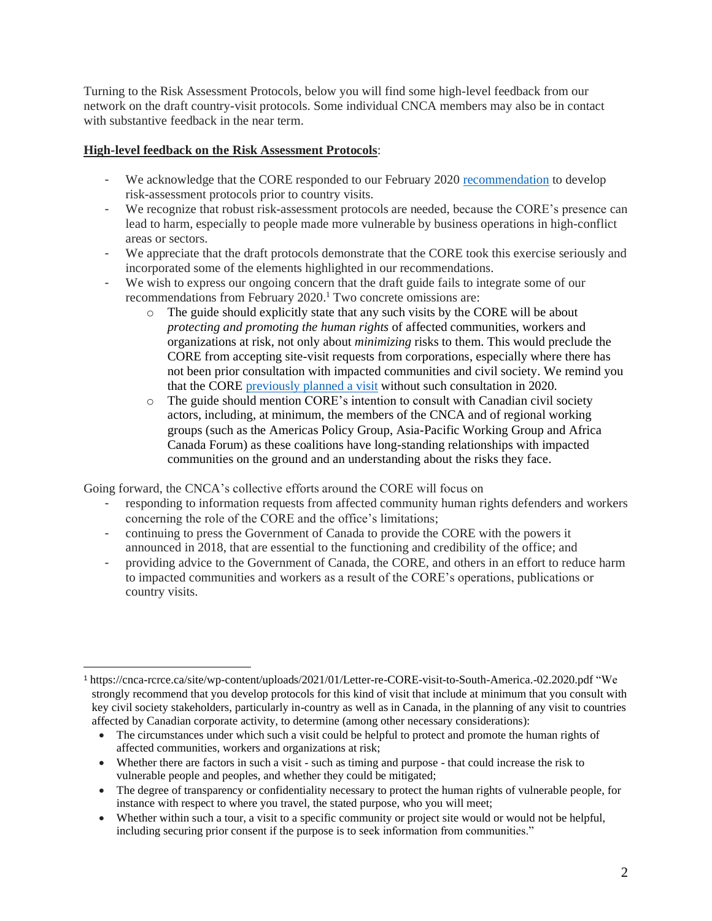Turning to the Risk Assessment Protocols, below you will find some high-level feedback from our network on the draft country-visit protocols. Some individual CNCA members may also be in contact with substantive feedback in the near term.

## **High-level feedback on the Risk Assessment Protocols**:

- We acknowledge that the CORE responded to our February 2020 [recommendation](https://cnca-rcrce.ca/site/wp-content/uploads/2021/01/Letter-re-CORE-visit-to-South-America.-02.2020.pdf) to develop risk-assessment protocols prior to country visits.
- We recognize that robust risk-assessment protocols are needed, because the CORE's presence can lead to harm, especially to people made more vulnerable by business operations in high-conflict areas or sectors.
- We appreciate that the draft protocols demonstrate that the CORE took this exercise seriously and incorporated some of the elements highlighted in our recommendations.
- We wish to express our ongoing concern that the draft guide fails to integrate some of our recommendations from February 2020.<sup>1</sup> Two concrete omissions are:
	- o The guide should explicitly state that any such visits by the CORE will be about *protecting and promoting the human rights* of affected communities, workers and organizations at risk, not only about *minimizing* risks to them. This would preclude the CORE from accepting site-visit requests from corporations, especially where there has not been prior consultation with impacted communities and civil society. We remind you that the CORE [previously planned a visit](https://cnca-rcrce.ca/site/wp-content/uploads/2021/01/Letter-re-CORE-visit-to-South-America.-02.2020.pdf) without such consultation in 2020.
	- $\circ$  The guide should mention CORE's intention to consult with Canadian civil society actors, including, at minimum, the members of the CNCA and of regional working groups (such as the Americas Policy Group, Asia-Pacific Working Group and Africa Canada Forum) as these coalitions have long-standing relationships with impacted communities on the ground and an understanding about the risks they face.

Going forward, the CNCA's collective efforts around the CORE will focus on

- responding to information requests from affected community human rights defenders and workers concerning the role of the CORE and the office's limitations;
- continuing to press the Government of Canada to provide the CORE with the powers it announced in 2018, that are essential to the functioning and credibility of the office; and
- providing advice to the Government of Canada, the CORE, and others in an effort to reduce harm to impacted communities and workers as a result of the CORE's operations, publications or country visits.

<sup>1</sup> https://cnca-rcrce.ca/site/wp-content/uploads/2021/01/Letter-re-CORE-visit-to-South-America.-02.2020.pdf "We strongly recommend that you develop protocols for this kind of visit that include at minimum that you consult with key civil society stakeholders, particularly in-country as well as in Canada, in the planning of any visit to countries affected by Canadian corporate activity, to determine (among other necessary considerations):

The circumstances under which such a visit could be helpful to protect and promote the human rights of affected communities, workers and organizations at risk;

<sup>•</sup> Whether there are factors in such a visit - such as timing and purpose - that could increase the risk to vulnerable people and peoples, and whether they could be mitigated;

<sup>•</sup> The degree of transparency or confidentiality necessary to protect the human rights of vulnerable people, for instance with respect to where you travel, the stated purpose, who you will meet;

<sup>•</sup> Whether within such a tour, a visit to a specific community or project site would or would not be helpful, including securing prior consent if the purpose is to seek information from communities."